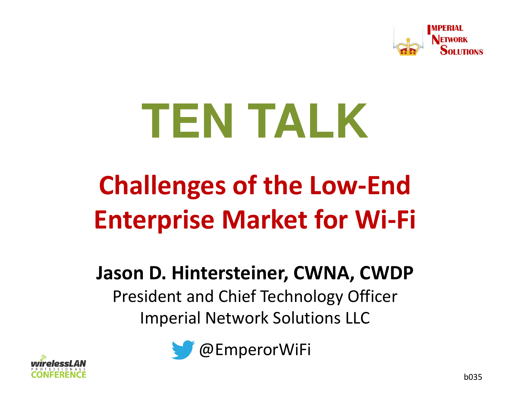

# **TEN TALK**

## **Challenges of the Low-End Enterprise Market for Wi-Fi**

#### **Jason D. Hintersteiner, CWNA, CWDP**

President and Chief Technology OfficerImperial Network Solutions LLC



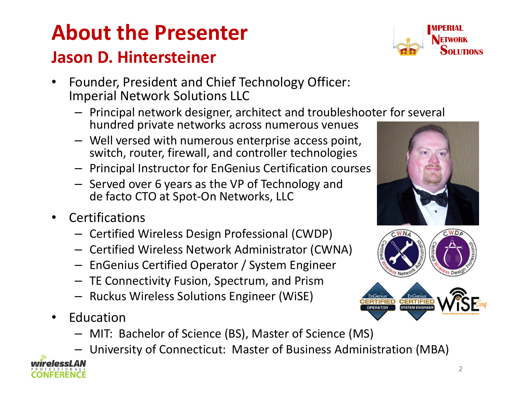#### **About the PresenterJason D. Hintersteiner**

- • Founder, President and Chief Technology Officer: Imperial Network Solutions LLC
	- Principal network designer, architect and troubleshooter for several hundred private networks across numerous venues
	- Well versed with numerous enterprise access point, switch, router, firewall, and controller technologies
	- Principal Instructor for EnGenius Certification courses
	- Served over 6 years as the VP of Technology and de facto CTO at Spot-On Networks, LLC
- •**Certifications** 
	- Certified Wireless Design Professional (CWDP)
	- Certified Wireless Network Administrator (CWNA)
	- –- EnGenius Certified Operator / System Engineer
	- TE Connectivity Fusion, Spectrum, and Prism
	- Ruckus Wireless Solutions Engineer (WiSE)
- • Education
	- MIT: Bachelor of Science (BS), Master of Science (MS)
	- University of Connecticut: Master of Business Administration (MBA)





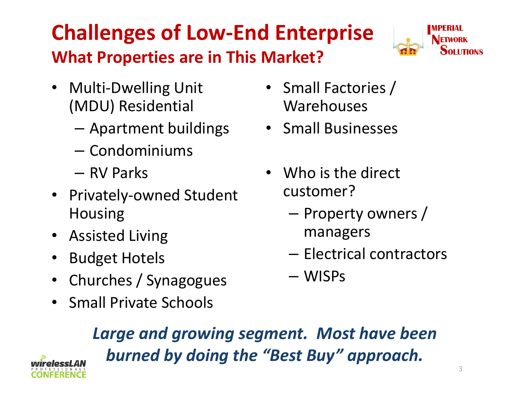#### **Challenges of Low-End EnterpriseWhat Properties are in This Market?**



- Multi-Dwelling Unit (MDU) Residential
	- Apartment buildings
	- Condominiums
	- RV Parks
- Privately-owned Student Housing
- Assisted Living
- $\bullet$ Budget Hotels
- $\bullet$ Churches / Synagogues
- Small Private Schools
- Small Factories / Warehouses
- Small Businesses
- Who is the direct customer?
	- Property owners / managers
	- Electrical contractors
	- WISPs

*Large and growing segment. Most have been burned by doing the "Best Buy" approach.*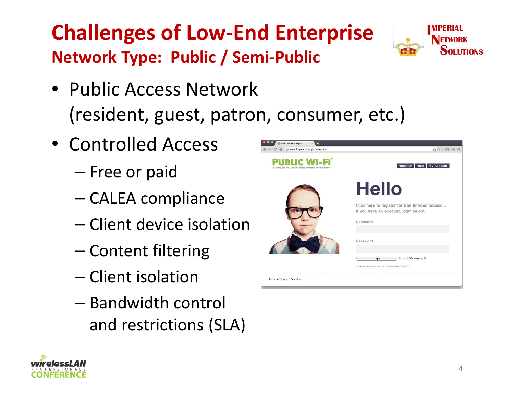#### **Challenges of Low-End EnterpriseNetwork Type: Public / Semi-Public**



- Controlled Access
	- –— Free or paid
	- –— CALEA compliance
	- –— Client device isolation
	- –— Content filtering
	- –— Client isolation
	- –- Bandwidth control and restrictions (SLA)





**OLLITIONS**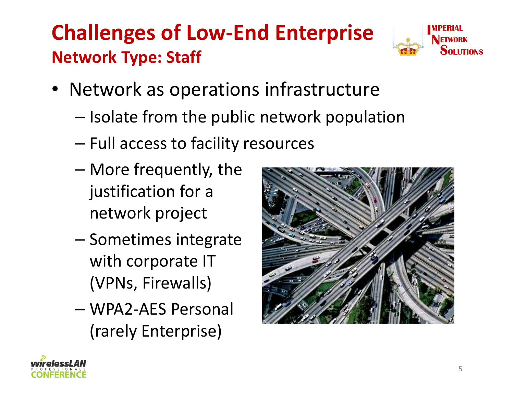#### **Challenges of Low-End EnterpriseNetwork Type: Staff**



- Network as operations infrastructure
	- – $-$  Isolate from the public network population
	- –— Full access to facility resources
	- – More frequently, the justification for a network project
	- – $-$  Sometimes integrate with corporate IT (VPNs, Firewalls)
	- – WPA2-AES Personal (rarely Enterprise)



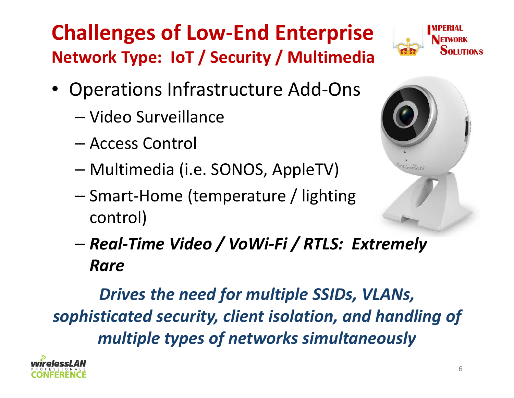### **Challenges of Low-End EnterpriseNetwork Type: IoT / Security / Multimedia**

- 
- • Operations Infrastructure Add-Ons
	- –— Video Surveillance
	- –Access Control
	- –Multimedia (i.e. SONOS, AppleTV)
	- –- Smart-Home (temperature / lighting control)



– *Real-Time Video / VoWi-Fi / RTLS: Extremely Rare*

*Drives the need for multiple SSIDs, VLANs, sophisticated security, client isolation, and handling of multiple types of networks simultaneously*

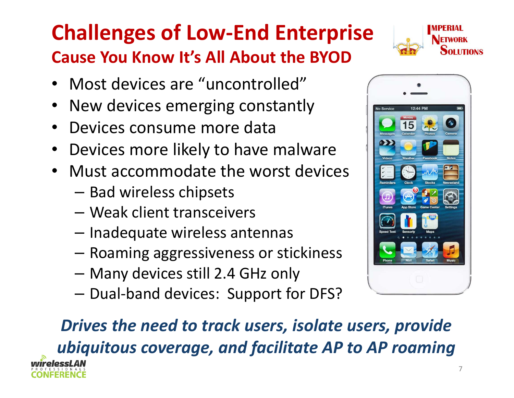#### **Challenges of Low-End EnterpriseCause You Know It's All About the BYOD**



- Most devices are "uncontrolled"
- •New devices emerging constantly
- •Devices consume more data
- •Devices more likely to have malware
- Must accommodate the worst devices•
	- Bad wireless chipsets
	- Weak client transceivers
	- Inadequate wireless antennas
	- Roaming aggressiveness or stickiness
	- Many devices still 2.4 GHz only
	- $-$  Dual-band devices: Support for DFS?



### *Drives the need to track users, isolate users, provideubiquitous coverage, and facilitate AP to AP roaming*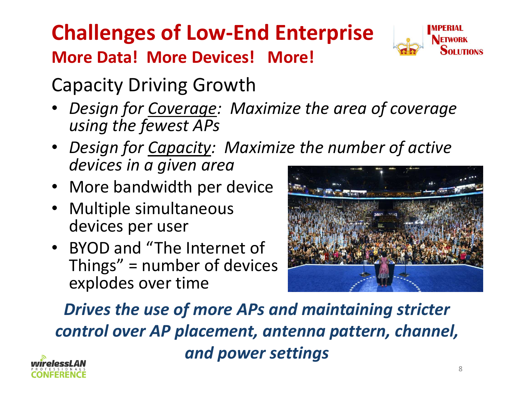#### **Challenges of Low-End EnterpriseMore Data! More Devices! More!**



Capacity Driving Growth

- *Design for Coverage: Maximize the area of coverage*•*using the fewest APs*
- *Design for Capacity: Maximize the number of activedevices in a given area*
- More bandwidth per device
- Multiple simultaneous devices per user
- BYOD and "The Internet of Things" = number of devices explodes over time



*Drives the use of more APs and maintaining stricter control over AP placement, antenna pattern, channel, and power settings*

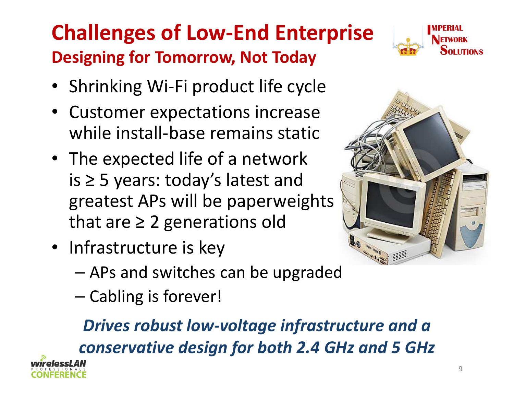#### **Challenges of Low-End EnterpriseDesigning for Tomorrow, Not Today**



- Shrinking Wi-Fi product life cycle
- • Customer expectations increase while install-base remains static
- The expected life of a network is ≥ 5 years: today's latest and greatest APs will be paperweightsthat are ≥ 2 generations old
- Infrastructure is key
	- –APs and switches can be upgraded
	- –— Cabling is forever!

*Drives robust low-voltage infrastructure and a conservative design for both 2.4 GHz and 5 GHz*

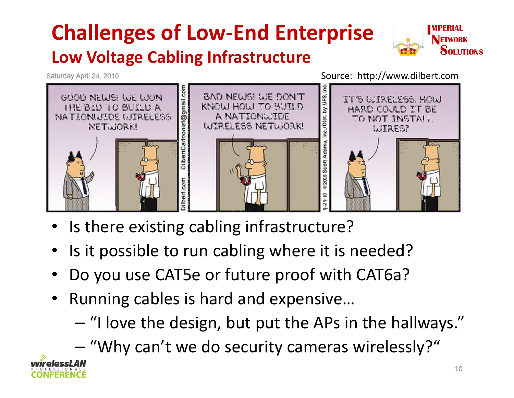#### **Challenges of Low-End EnterpriseLow Voltage Cabling Infrastructure**



Saturday April 24, 2010

Source: http://www.dilbert.com



- •Is there existing cabling infrastructure?
- •Is it possible to run cabling where it is needed?
- •Do you use CAT5e or future proof with CAT6a?
- • Running cables is hard and expensive…
	- –"I love the design, but put the APs in the hallways."
	- –- "Why can't we do security cameras wirelessly?"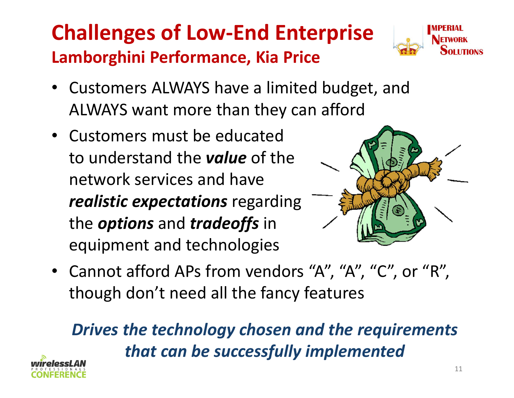#### **Challenges of Low-End EnterpriseLamborghini Performance, Kia Price**



- Customers ALWAYS have a limited budget, and ALWAYS want more than they can afford
- Customers must be educated to understand the *value* of the network services and have *realistic expectations* regarding the *options* and *tradeoffs* in equipment and technologies



• Cannot afford APs from vendors "A", "A", "C", or "R", though don't need all the fancy features

*Drives the technology chosen and the requirements that can be successfully implemented*

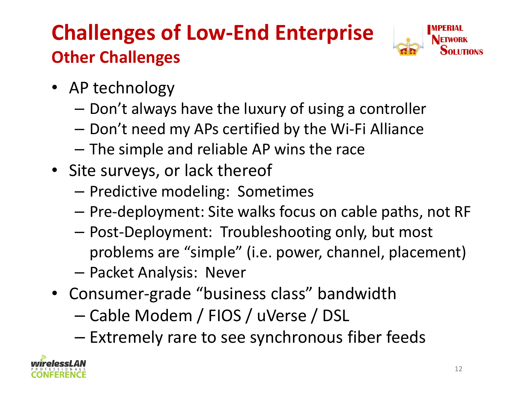#### **Challenges of Low-End EnterpriseOther Challenges**



- AP technology
	- Don't always have the luxury of using a controller
	- Don't need my APs certified by the Wi-Fi Alliance
	- $-$  The simple and reliable AP wins the race
- Site surveys, or lack thereof
	- Predictive modeling: Sometimes
	- $-$  Pre-deployment: Site walks focus on cable paths, not RF
	- Post-Deployment: Troubleshooting only, but most problems are "simple" (i.e. power, channel, placement)
	- Packet Analysis: Never
- Consumer-grade "business class" bandwidth
	- –Cable Modem / FIOS / uVerse / DSL
	- – $-$  Extremely rare to see synchronous fiber feeds